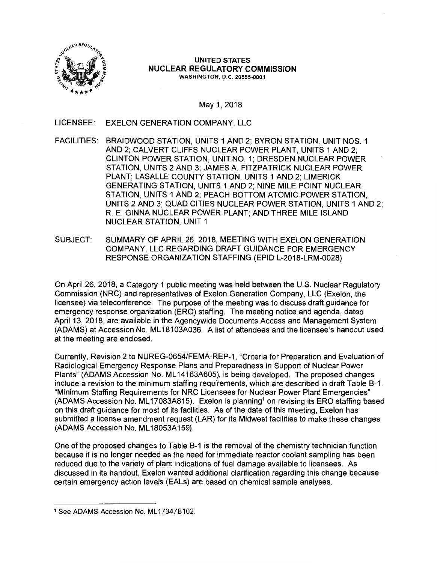

UNITED STATES NUCLEAR REGULATORY **COMMISSION**  WASHINGTON, D.C. 20555-0001

May 1, 2018

LICENSEE: EXELON GENERATION COMPANY, LLC

- FACILITIES: BRAIDWOOD STATION, UNITS 1 AND 2; BYRON STATION, UNIT NOS. 1 AND 2; CALVERT CLIFFS NUCLEAR POWER PLANT, UNITS 1 AND 2; CLINTON POWER STATION, UNIT NO. 1; DRESDEN NUCLEAR POWER STATION, UNITS 2 AND 3; JAMES A FITZPATRICK NUCLEAR POWER PLANT; LASALLE COUNTY STATION, UNITS 1 AND 2; LIMERICK GENERATING STATION, UNITS 1 AND 2; NINE MILE POINT NUCLEAR STATION, UNITS 1 AND 2; PEACH BOTTOM ATOMIC POWER STATION, UNITS 2 AND 3; QUAD CITIES NUCLEAR POWER STATION, UNITS 1 AND 2; R. E. GINNA NUCLEAR POWER PLANT; AND THREE MILE ISLAND NUCLEAR STATION, UNIT 1
- SUBJECT: SUMMARY OF APRIL 26, 2018, MEETING WITH EXELON GENERATION COMPANY, LLC REGARDING DRAFT GUIDANCE FOR EMERGENCY RESPONSE ORGANIZATION STAFFING (EPID L-2018-LRM-0028)

On April 26, 2018, a Category 1 public meeting was held between the U.S. Nuclear Regulatory Commission (NRC) and representatives of Exelon Generation Company, LLC (Exelon, the licensee) via teleconference. The purpose of the meeting was to discuss draft guidance for emergency response organization (ERO) staffing. The meeting notice and agenda, dated April 13, 2018, are available in the Agencywide Documents Access and Management System (ADAMS) at Accession No. ML 18103A036. A list of attendees and the licensee's handout used at the meeting are enclosed.

Currently, Revision 2 to NUREG-0654/FEMA-REP-1, "Criteria for Preparation and Evaluation of Radiological Emergency Response Plans and Preparedness in Support of Nuclear Power Plants" (ADAMS Accession No. ML 14163A605), is being developed. The proposed changes include a revision to the minimum staffing requirements, which are described in draft Table B-1, "Minimum Staffing Requirements for NRC Licensees for Nuclear Power Plant Emergencies" (ADAMS Accession No. ML17083A815). Exelon is planning<sup>1</sup> on revising its ERO staffing based on this draft guidance for most of its facilities. As of the date of this meeting, Exelon has submitted a license amendment request (LAR) for its Midwest facilities to make these changes (ADAMS Accession No. ML 18053A 159).

One of the proposed changes to Table B-1 is the removal of the chemistry technician function because it is no longer needed as the need for immediate reactor coolant sampling has been reduced due to the variety of plant indications of fuel damage available to licensees. As discussed in its handout, Exelon wanted additional clarification regarding this change because certain emergency action levels (EALs) are based on chemical sample analyses.

<sup>1</sup> See ADAMS Accession No. ML 173478102.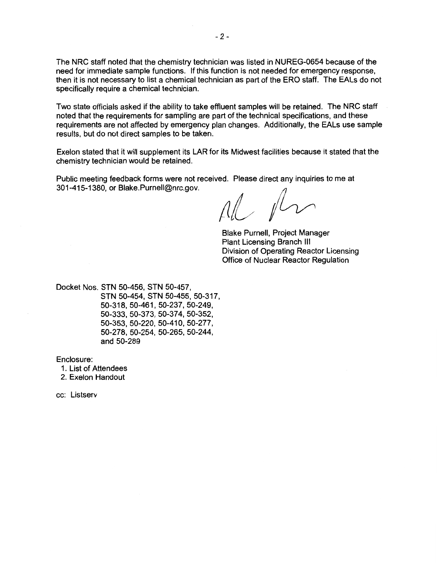The NRC staff noted that the chemistry technician was listed in NUREG-0654 because of the need for immediate sample functions. If this function is not needed for emergency response, then it is not necessary to list a chemical technician as part of the ERO staff. The EALs do not specifically require a chemical technician.

Two state officials asked if the ability to take effluent samples will be retained. The NRC staff noted that the requirements for sampling are part of the technical specifications, and these requirements are not affected by emergency plan changes. Additionally, the EALs use sample results, but do not direct samples to be taken.

Exelon stated that it will supplement its LAR for its Midwest facilities because it stated that the chemistry technician would be retained.

Public meeting feedback forms were not received. Please direct any inquiries to me at 301-415-1380, or Blake.Purnell@nrc.gov.

al for

Blake Purnell, Project Manager Plant Licensing Branch Ill Division of Operating Reactor Licensing Office of Nuclear Reactor Regulation

Docket Nos. STN 50-456, STN 50-457, STN 50-454, STN 50-455, 50-317, 50-318, 50-461, 50-237, 50-249, 50-333, 50-373, 50-37 4, 50-352, 50-353, 50-220, 50-410, 50-277, 50-278, 50-254, 50-265, 50-244, and 50-289

Enclosure:

1. List of Attendees

2. Exelon Handout

cc: Listserv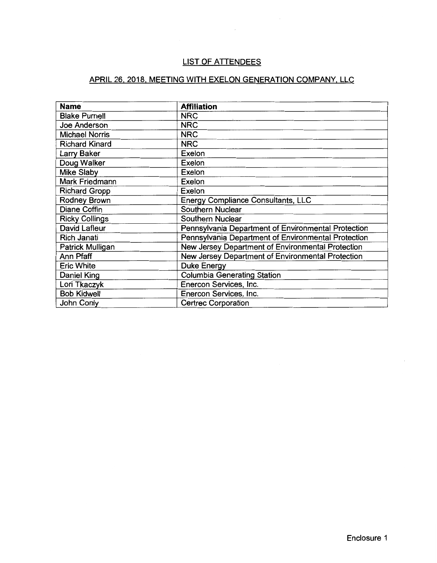# LIST OF ATTENDEES

# APRIL 26, 2018, MEETING WITH EXELON GENERATION COMPANY, LLC

| <b>Name</b>           | <b>Affiliation</b>                                  |  |  |
|-----------------------|-----------------------------------------------------|--|--|
| <b>Blake Purnell</b>  | <b>NRC</b>                                          |  |  |
| Joe Anderson          | <b>NRC</b>                                          |  |  |
| <b>Michael Norris</b> | <b>NRC</b>                                          |  |  |
| <b>Richard Kinard</b> | <b>NRC</b>                                          |  |  |
| Larry Baker           | Exelon                                              |  |  |
| Doug Walker           | Exelon                                              |  |  |
| <b>Mike Slaby</b>     | Exelon                                              |  |  |
| Mark Friedmann        | Exelon                                              |  |  |
| <b>Richard Gropp</b>  | Exelon                                              |  |  |
| <b>Rodney Brown</b>   | Energy Compliance Consultants, LLC                  |  |  |
| Diane Coffin          | Southern Nuclear                                    |  |  |
| <b>Ricky Collings</b> | Southern Nuclear                                    |  |  |
| David Lafleur         | Pennsylvania Department of Environmental Protection |  |  |
| Rich Janati           | Pennsylvania Department of Environmental Protection |  |  |
| Patrick Mulligan      | New Jersey Department of Environmental Protection   |  |  |
| Ann Pfaff             | New Jersey Department of Environmental Protection   |  |  |
| <b>Eric White</b>     | <b>Duke Energy</b>                                  |  |  |
| Daniel King           | <b>Columbia Generating Station</b>                  |  |  |
| Lori Tkaczyk          | Enercon Services, Inc.                              |  |  |
| <b>Bob Kidwell</b>    | Enercon Services, Inc.                              |  |  |
| John Conly            | <b>Certrec Corporation</b>                          |  |  |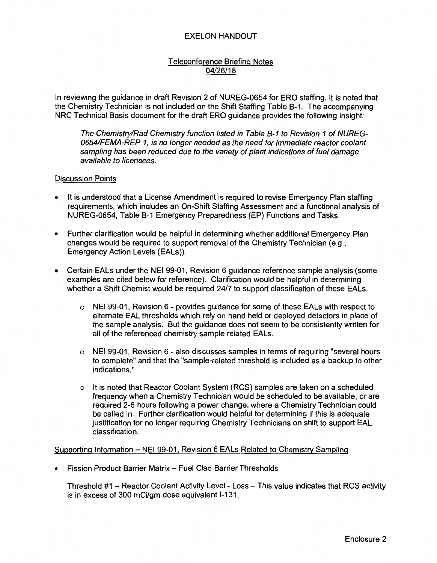## EXELON HANDOUT

## Teleconference Briefing Notes 04/26/18

In reviewing the guidance in draft Revision 2 of NUREG-0654 for ERO staffing, it is noted that the Chemistry Technician is not included on the Shift Staffing Table B-1. The accompanying NRC Technical Basis document for the draft ERO guidance provides the following insight:

The Chemistry/Rad Chemistry function listed in Table B-1 to Revision 1 of NUREG-0654/FEMA-REP 1, is no longer needed as the need for immediate reactor coolant sampling has been reduced due to the variety of plant indications of fuel damage available to licensees.

#### Discussion Points

- It is understood that a License Amendment is required to revise Emergency Plan staffing requirements, which includes an On-Shift Staffing Assessment and a functional analysis of NUREG-0654, Table B-1 Emergency Preparedness (EP) Functions and Tasks.
- Further clarification would be helpful in determining whether additional Emergency Plan changes would be required to support removal of the Chemistry Technician (e.g., Emergency Action Levels (EALs)).
- Certain EALs under the NEI 99-01, Revision 6 guidance reference sample analysis (some examples are cited below for reference). Clarification would be helpful in determining whether a Shift Chemist would be required 24/7 to support classification of these EALs.
	- o NEI 99-01, Revision 6 provides guidance for some of these EALs with respect to alternate EAL thresholds which rely on hand held or deployed detectors in place of the sample analysis. But the guidance does not seem to be consistently written for all of the referenced chemistry sample related EALs.
	- o NEI 99-01, Revision 6 also discusses samples in terms of requiring "several hours to complete" and that the "sample-related threshold is included as a backup to other indications."
	- o It is noted that Reactor Coolant System (RCS) samples are taken on a scheduled frequency when a Chemistry Technician would be scheduled to be available, or are required 2-6 hours following a power change, where a Chemistry Technician could be called in. Further clarification would helpful for determining if this is adequate justification for no longer requiring Chemistry Technicians on shift to support EAL classification.

#### Supporting Information - NEI 99-01, Revision 6 EALs Related to Chemistry Sampling

• Fission Product Barrier Matrix - Fuel Clad Barrier Thresholds

Threshold #1 - Reactor Coolant Activity Level - Loss - This value indicates that RCS activity is in excess of 300 mCi/gm dose equivalent 1-131.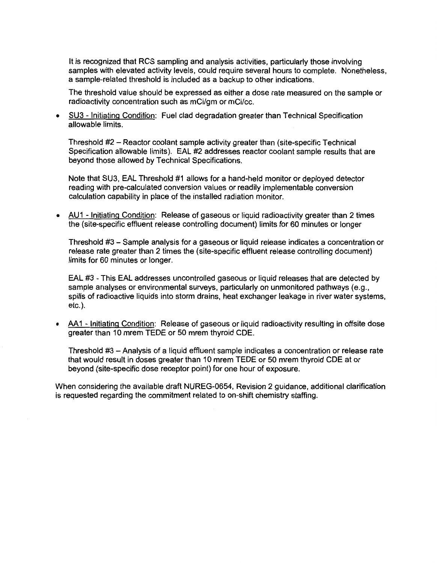It is recognized that RCS sampling and analysis activities, particularly those involving samples with elevated activity levels, could require several hours to complete. Nonetheless, a sample-related threshold is included as a backup to other indications.

The threshold value should be expressed as either a dose rate measured on the sample or radioactivity concentration such as mCi/gm or mCi/cc.

• SU3 - Initiating Condition: Fuel clad degradation greater than Technical Specification allowable limits.

Threshold #2 - Reactor coolant sample activity greater than (site-specific Technical Specification allowable limits). EAL #2 addresses reactor coolant sample results that are beyond those allowed by Technical Specifications.

Note that SU3, EAL Threshold #1 allows for a hand-held monitor or deployed detector reading with pre-calculated conversion values or readily implementable conversion calculation capability in place of the installed radiation monitor.

• AU1 - Initiating Condition: Release of gaseous or liquid radioactivity greater than 2 times the (site-specific effluent release controlling document) limits for 60 minutes or longer

Threshold #3 - Sample analysis for a gaseous or liquid release indicates a concentration or release rate greater than 2 times the (site-specific effluent release controlling document) limits for 60 minutes or longer.

EAL #3 - This EAL addresses uncontrolled gaseous or liquid releases that are detected by sample analyses or environmental surveys, particularly on unmonitored pathways (e.g., spills of radioactive liquids into storm drains, heat exchanger leakage in river water systems, etc.).

• AA1 - Initiating Condition: Release of gaseous or liquid radioactivity resulting in offsite dose greater than 10 mrem TEOE or 50 mrem thyroid COE.

Threshold #3 - Analysis of a liquid effluent sample indicates a concentration or release rate that would result in doses greater than 10 mrem TEOE or 50 mrem thyroid COE at or beyond (site-specific dose receptor point) for one hour of exposure.

When considering the available draft NUREG-0654, Revision 2 guidance, additional clarification is requested regarding the commitment related to on-shift chemistry staffing.